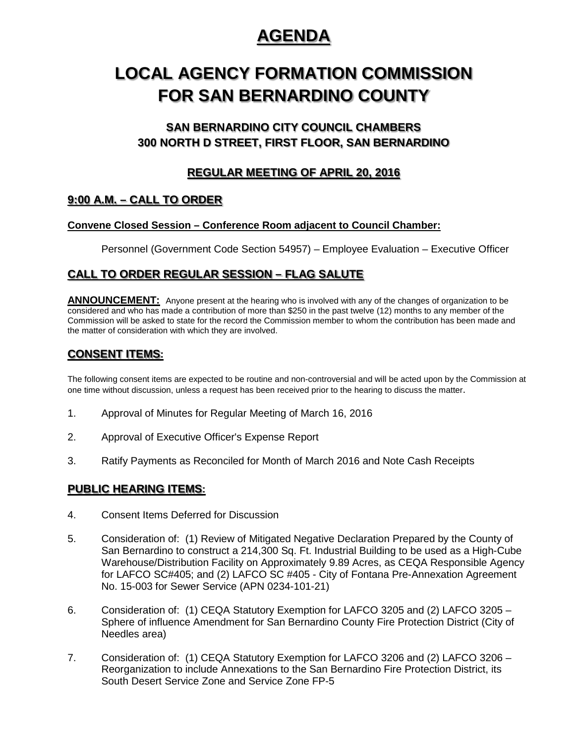## **AGENDA**

# **LOCAL AGENCY FORMATION COMMISSION FOR SAN BERNARDINO COUNTY**

## **SAN BERNARDINO CITY COUNCIL CHAMBERS 300 NORTH D STREET, FIRST FLOOR, SAN BERNARDINO**

### **REGULAR MEETING OF APRIL 20, 2016**

## **9:00 A.M. – CALL TO ORDER**

#### **Convene Closed Session – Conference Room adjacent to Council Chamber:**

Personnel (Government Code Section 54957) – Employee Evaluation – Executive Officer

## **CALL TO ORDER REGULAR SESSION – FLAG SALUTE**

ANNOUNCEMENT: Anyone present at the hearing who is involved with any of the changes of organization to be considered and who has made a contribution of more than \$250 in the past twelve (12) months to any member of the Commission will be asked to state for the record the Commission member to whom the contribution has been made and the matter of consideration with which they are involved.

### **CONSENT ITEMS:**

The following consent items are expected to be routine and non-controversial and will be acted upon by the Commission at one time without discussion, unless a request has been received prior to the hearing to discuss the matter.

- 1. Approval of Minutes for Regular Meeting of March 16, 2016
- 2. Approval of Executive Officer's Expense Report
- 3. Ratify Payments as Reconciled for Month of March 2016 and Note Cash Receipts

#### **PUBLIC HEARING ITEMS:**

- 4. Consent Items Deferred for Discussion
- 5. Consideration of: (1) Review of Mitigated Negative Declaration Prepared by the County of San Bernardino to construct a 214,300 Sq. Ft. Industrial Building to be used as a High-Cube Warehouse/Distribution Facility on Approximately 9.89 Acres, as CEQA Responsible Agency for LAFCO SC#405; and (2) LAFCO SC #405 - City of Fontana Pre-Annexation Agreement No. 15-003 for Sewer Service (APN 0234-101-21)
- 6. Consideration of: (1) CEQA Statutory Exemption for LAFCO 3205 and (2) LAFCO 3205 Sphere of influence Amendment for San Bernardino County Fire Protection District (City of Needles area)
- 7. Consideration of: (1) CEQA Statutory Exemption for LAFCO 3206 and (2) LAFCO 3206 Reorganization to include Annexations to the San Bernardino Fire Protection District, its South Desert Service Zone and Service Zone FP-5